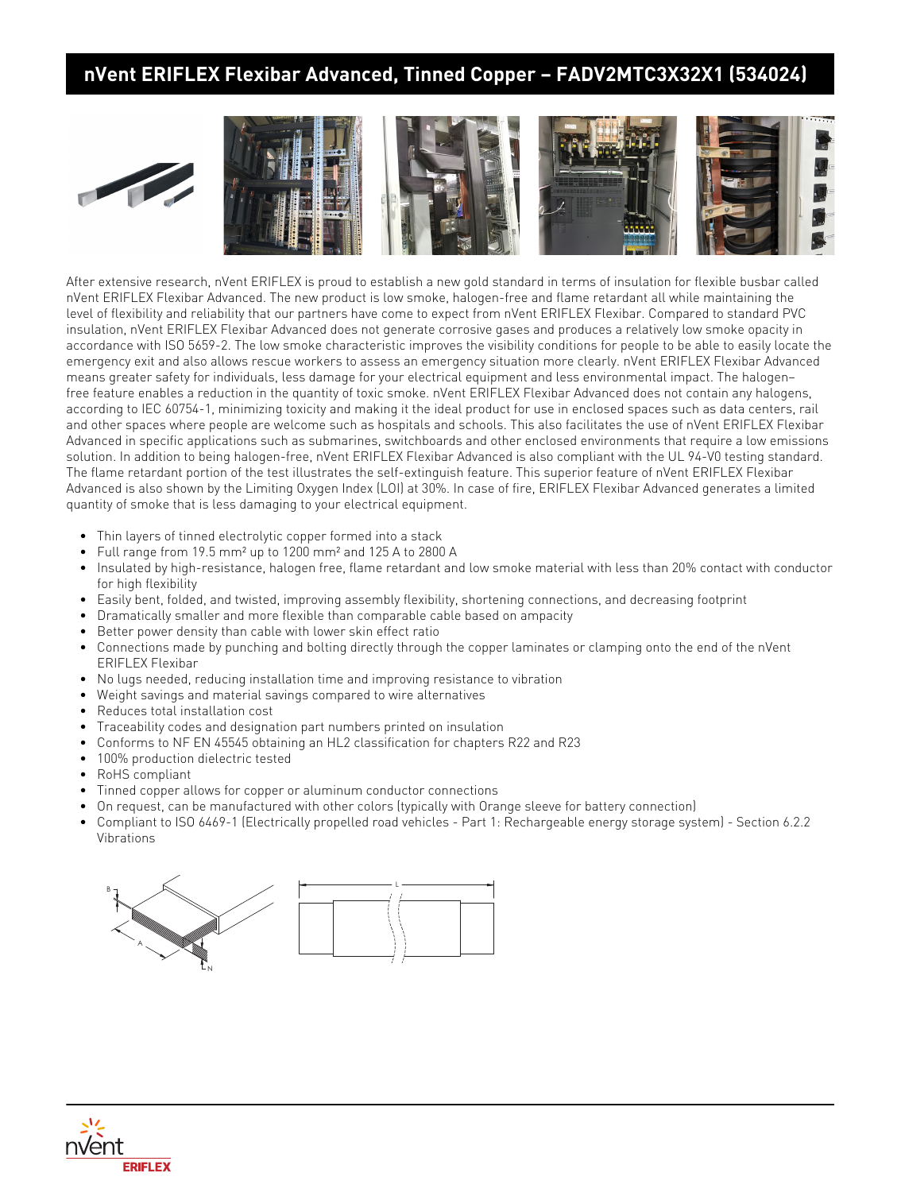## **nVent ERIFLEX Flexibar Advanced, Tinned Copper – FADV2MTC3X32X1 (534024)**





After extensive research, nVent ERIFLEX is proud to establish a new gold standard in terms of insulation for flexible busbar called nVent ERIFLEX Flexibar Advanced. The new product is low smoke, halogen-free and flame retardant all while maintaining the level of flexibility and reliability that our partners have come to expect from nVent ERIFLEX Flexibar. Compared to standard PVC insulation, nVent ERIFLEX Flexibar Advanced does not generate corrosive gases and produces a relatively low smoke opacity in accordance with ISO 5659-2. The low smoke characteristic improves the visibility conditions for people to be able to easily locate the emergency exit and also allows rescue workers to assess an emergency situation more clearly. nVent ERIFLEX Flexibar Advanced means greater safety for individuals, less damage for your electrical equipment and less environmental impact. The halogen– free feature enables a reduction in the quantity of toxic smoke. nVent ERIFLEX Flexibar Advanced does not contain any halogens, according to IEC 60754-1, minimizing toxicity and making it the ideal product for use in enclosed spaces such as data centers, rail and other spaces where people are welcome such as hospitals and schools. This also facilitates the use of nVent ERIFLEX Flexibar Advanced in specific applications such as submarines, switchboards and other enclosed environments that require a low emissions solution. In addition to being halogen-free, nVent ERIFLEX Flexibar Advanced is also compliant with the UL 94-V0 testing standard. The flame retardant portion of the test illustrates the self-extinguish feature. This superior feature of nVent ERIFLEX Flexibar Advanced is also shown by the Limiting Oxygen Index (LOI) at 30%. In case of fire, ERIFLEX Flexibar Advanced generates a limited quantity of smoke that is less damaging to your electrical equipment.

- Thin layers of tinned electrolytic copper formed into a stack
- Full range from 19.5 mm² up to 1200 mm² and 125 A to 2800 A
- Insulated by high-resistance, halogen free, flame retardant and low smoke material with less than 20% contact with conductor for high flexibility
- Easily bent, folded, and twisted, improving assembly flexibility, shortening connections, and decreasing footprint
- Dramatically smaller and more flexible than comparable cable based on ampacity
- Better power density than cable with lower skin effect ratio
- Connections made by punching and bolting directly through the copper laminates or clamping onto the end of the nVent ERIFLEX Flexibar
- No lugs needed, reducing installation time and improving resistance to vibration
- Weight savings and material savings compared to wire alternatives
- Reduces total installation cost
- Traceability codes and designation part numbers printed on insulation
- Conforms to NF EN 45545 obtaining an HL2 classification for chapters R22 and R23
- 100% production dielectric tested
- RoHS compliant
- Tinned copper allows for copper or aluminum conductor connections
- On request, can be manufactured with other colors (typically with Orange sleeve for battery connection)
- Compliant to ISO 6469-1 (Electrically propelled road vehicles Part 1: Rechargeable energy storage system) Section 6.2.2 Vibrations



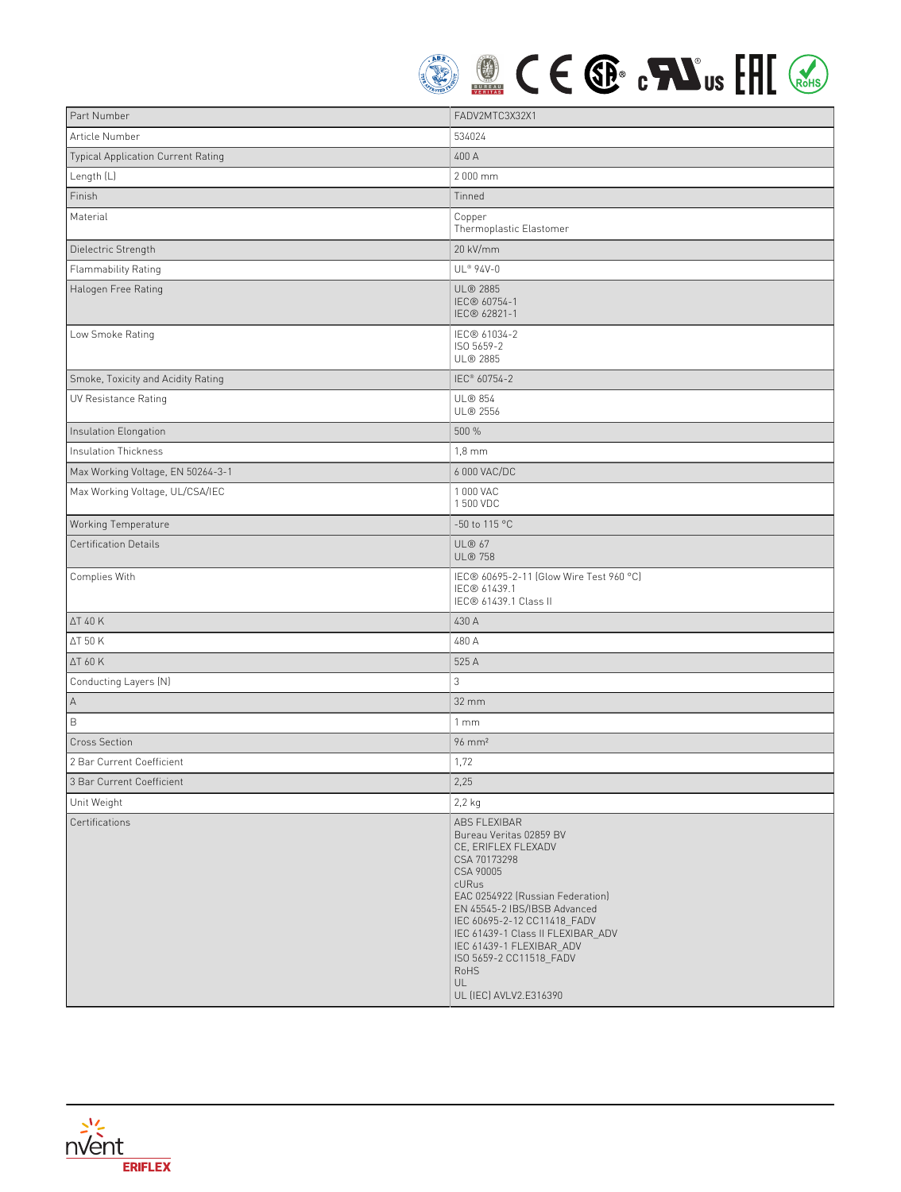

| Part Number                        | FADV2MTC3X32X1                                                                                                                                                                                                                                                                                                                                     |
|------------------------------------|----------------------------------------------------------------------------------------------------------------------------------------------------------------------------------------------------------------------------------------------------------------------------------------------------------------------------------------------------|
| Article Number                     | 534024                                                                                                                                                                                                                                                                                                                                             |
| Typical Application Current Rating | 400 A                                                                                                                                                                                                                                                                                                                                              |
| Length (L)                         | 2 000 mm                                                                                                                                                                                                                                                                                                                                           |
| Finish                             | Tinned                                                                                                                                                                                                                                                                                                                                             |
| Material                           | Copper<br>Thermoplastic Elastomer                                                                                                                                                                                                                                                                                                                  |
| Dielectric Strength                | 20 kV/mm                                                                                                                                                                                                                                                                                                                                           |
| Flammability Rating                | UL® 94V-0                                                                                                                                                                                                                                                                                                                                          |
| Halogen Free Rating                | <b>UL® 2885</b><br>IEC® 60754-1<br>IEC® 62821-1                                                                                                                                                                                                                                                                                                    |
| Low Smoke Rating                   | IEC® 61034-2<br>ISO 5659-2<br>UL® 2885                                                                                                                                                                                                                                                                                                             |
| Smoke, Toxicity and Acidity Rating | IEC <sup>®</sup> 60754-2                                                                                                                                                                                                                                                                                                                           |
| <b>UV Resistance Rating</b>        | <b>UL® 854</b><br>UL® 2556                                                                                                                                                                                                                                                                                                                         |
| Insulation Elongation              | 500 %                                                                                                                                                                                                                                                                                                                                              |
| Insulation Thickness               | $1,8$ mm                                                                                                                                                                                                                                                                                                                                           |
| Max Working Voltage, EN 50264-3-1  | 6 000 VAC/DC                                                                                                                                                                                                                                                                                                                                       |
| Max Working Voltage, UL/CSA/IEC    | 1 000 VAC<br>1 500 VDC                                                                                                                                                                                                                                                                                                                             |
| Working Temperature                | -50 to 115 °C                                                                                                                                                                                                                                                                                                                                      |
| <b>Certification Details</b>       | <b>UL® 67</b><br><b>UL® 758</b>                                                                                                                                                                                                                                                                                                                    |
| Complies With                      | IEC® 60695-2-11 (Glow Wire Test 960 °C)<br>IEC® 61439.1<br>IEC® 61439.1 Class II                                                                                                                                                                                                                                                                   |
| <b>AT 40 K</b>                     | 430 A                                                                                                                                                                                                                                                                                                                                              |
| <b>ΔT 50 K</b>                     | 480 A                                                                                                                                                                                                                                                                                                                                              |
| ΔT 60 K                            | 525 A                                                                                                                                                                                                                                                                                                                                              |
| Conducting Layers (N)              | 3                                                                                                                                                                                                                                                                                                                                                  |
| А                                  | 32 mm                                                                                                                                                                                                                                                                                                                                              |
| $\mathsf B$                        | 1mm                                                                                                                                                                                                                                                                                                                                                |
| <b>Cross Section</b>               | $96 \text{ mm}^2$                                                                                                                                                                                                                                                                                                                                  |
| 2 Bar Current Coefficient          | 1,72                                                                                                                                                                                                                                                                                                                                               |
| 3 Bar Current Coefficient          | 2,25                                                                                                                                                                                                                                                                                                                                               |
| Unit Weight                        | $2,2$ kg                                                                                                                                                                                                                                                                                                                                           |
| Certifications                     | <b>ABS FLEXIBAR</b><br>Bureau Veritas 02859 BV<br>CE, ERIFLEX FLEXADV<br>CSA 70173298<br>CSA 90005<br>cURus<br>EAC 0254922 (Russian Federation)<br>EN 45545-2 IBS/IBSB Advanced<br>IEC 60695-2-12 CC11418_FADV<br>IEC 61439-1 Class II FLEXIBAR_ADV<br>IEC 61439-1 FLEXIBAR ADV<br>ISO 5659-2 CC11518_FADV<br>RoHS<br>UL<br>UL (IEC) AVLV2.E316390 |